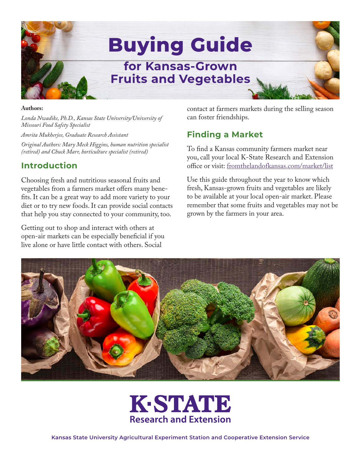

#### **Authors:**

*Londa Nwadike, Ph.D., Kansas State University/University of Missouri Food Safety Specialist* 

*Amrita Mukherjee, Graduate Research Assistant*

*Original Authors: Mary Meck Higgins, human nutrition specialist (retired) and Chuck Marr, horticulture specialist (retired)* 

### **Introduction**

Choosing fresh and nutritious seasonal fruits and vegetables from a farmers market offers many benefits. It can be a great way to add more variety to your diet or to try new foods. It can provide social contacts that help you stay connected to your community, too.

Getting out to shop and interact with others at open-air markets can be especially beneficial if you live alone or have little contact with others. Social

contact at farmers markets during the selling season can foster friendships.

## **Finding a Market**

To find a Kansas community farmers market near you, call your local K-State Research and Extension office or visit: fromthelandofkansas.com/market/list

Use this guide throughout the year to know which fresh, Kansas-grown fruits and vegetables are likely to be available at your local open-air market. Please remember that some fruits and vegetables may not be grown by the farmers in your area.





**Kansas State University Agricultural Experiment Station and Cooperative Extension Service**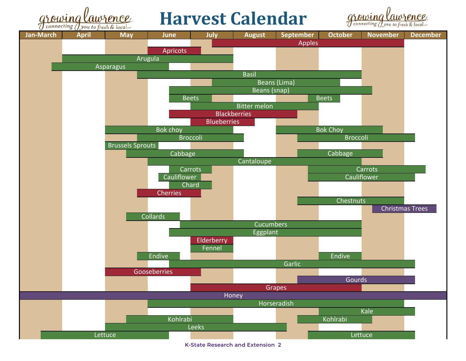

# **Harvest Calendar**





**K-State Research and Extension 2**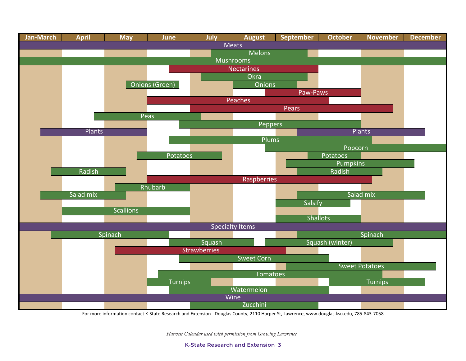

For more information contact K-State Research and Extension - Douglas County, 2110 Harper St, Lawrence, www.douglas.ksu.edu, 785-843-7058

*Harvest Calendar used with permission from Growing Lawrence*

**K-State Research and Extension 3**